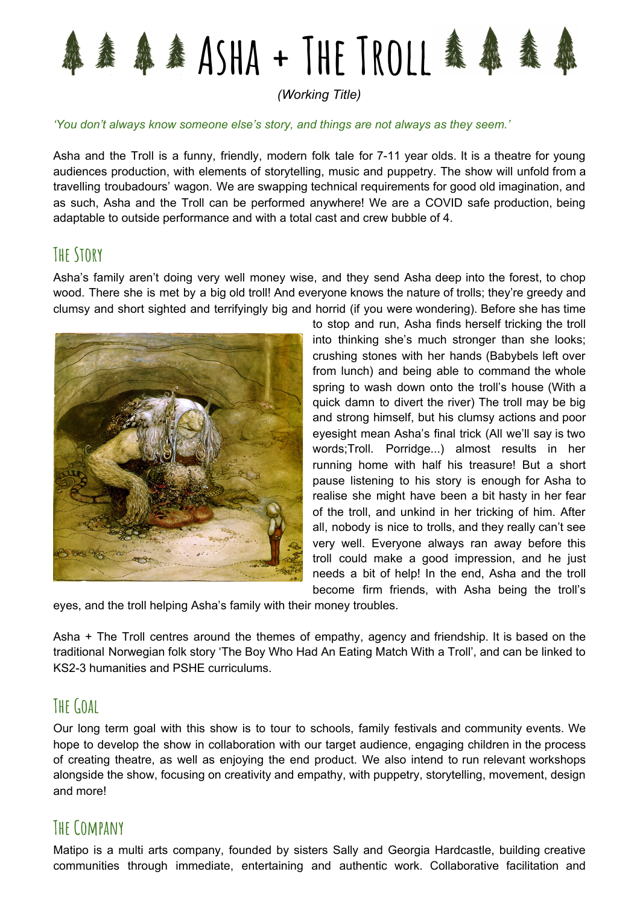

*(Working Title)*

#### *'You don't always know someone else's story, and things are not always as they seem.'*

Asha and the Troll is a funny, friendly, modern folk tale for 7-11 year olds. It is a theatre for young audiences production, with elements of storytelling, music and puppetry. The show will unfold from a travelling troubadours' wagon. We are swapping technical requirements for good old imagination, and as such, Asha and the Troll can be performed anywhere! We are a COVID safe production, being adaptable to outside performance and with a total cast and crew bubble of 4.

# **The Story**

Asha's family aren't doing very well money wise, and they send Asha deep into the forest, to chop wood. There she is met by a big old troll! And everyone knows the nature of trolls; they're greedy and clumsy and short sighted and terrifyingly big and horrid (if you were wondering). Before she has time



to stop and run, Asha finds herself tricking the troll into thinking she's much stronger than she looks; crushing stones with her hands (Babybels left over from lunch) and being able to command the whole spring to wash down onto the troll's house (With a quick damn to divert the river) The troll may be big and strong himself, but his clumsy actions and poor eyesight mean Asha's final trick (All we'll say is two words;Troll. Porridge...) almost results in her running home with half his treasure! But a short pause listening to his story is enough for Asha to realise she might have been a bit hasty in her fear of the troll, and unkind in her tricking of him. After all, nobody is nice to trolls, and they really can't see very well. Everyone always ran away before this troll could make a good impression, and he just needs a bit of help! In the end, Asha and the troll become firm friends, with Asha being the troll's

eyes, and the troll helping Asha's family with their money troubles.

Asha + The Troll centres around the themes of empathy, agency and friendship. It is based on the traditional Norwegian folk story 'The Boy Who Had An Eating Match With a Troll', and can be linked to KS2-3 humanities and PSHE curriculums.

# **TheGoal**

Our long term goal with this show is to tour to schools, family festivals and community events. We hope to develop the show in collaboration with our target audience, engaging children in the process of creating theatre, as well as enjoying the end product. We also intend to run relevant workshops alongside the show, focusing on creativity and empathy, with puppetry, storytelling, movement, design and more!

### **The Company**

Matipo is a multi arts company, founded by sisters Sally and Georgia Hardcastle, building creative communities through immediate, entertaining and authentic work. Collaborative facilitation and